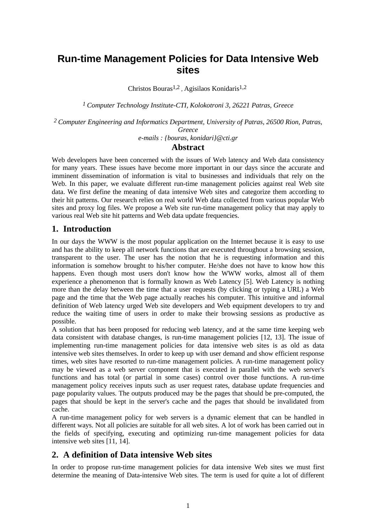# **Run-time Management Policies for Data Intensive Web sites**

Christos Bouras1,2 , Agisilaos Konidaris1,2

*1 Computer Technology Institute-CTI, Kolokotroni 3, 26221 Patras, Greece*

*2 Computer Engineering and Informatics Department, University of Patras, 26500 Rion, Patras, Greece*

*e-mails : {bouras, konidari}@cti.gr*

### **Abstract**

Web developers have been concerned with the issues of Web latency and Web data consistency for many years. These issues have become more important in our days since the accurate and imminent dissemination of information is vital to businesses and individuals that rely on the Web. In this paper, we evaluate different run-time management policies against real Web site data. We first define the meaning of data intensive Web sites and categorize them according to their hit patterns. Our research relies on real world Web data collected from various popular Web sites and proxy log files. We propose a Web site run-time management policy that may apply to various real Web site hit patterns and Web data update frequencies.

### **1. Introduction**

In our days the WWW is the most popular application on the Internet because it is easy to use and has the ability to keep all network functions that are executed throughout a browsing session, transparent to the user. The user has the notion that he is requesting information and this information is somehow brought to his/her computer. He/she does not have to know how this happens. Even though most users don't know how the WWW works, almost all of them experience a phenomenon that is formally known as Web Latency [5]. Web Latency is nothing more than the delay between the time that a user requests (by clicking or typing a URL) a Web page and the time that the Web page actually reaches his computer. This intuitive and informal definition of Web latency urged Web site developers and Web equipment developers to try and reduce the waiting time of users in order to make their browsing sessions as productive as possible.

A solution that has been proposed for reducing web latency, and at the same time keeping web data consistent with database changes, is run-time management policies [12, 13]. The issue of implementing run-time management policies for data intensive web sites is as old as data intensive web sites themselves. In order to keep up with user demand and show efficient response times, web sites have resorted to run-time management policies. A run-time management policy may be viewed as a web server component that is executed in parallel with the web server's functions and has total (or partial in some cases) control over those functions. A run-time management policy receives inputs such as user request rates, database update frequencies and page popularity values. The outputs produced may be the pages that should be pre-computed, the pages that should be kept in the server's cache and the pages that should be invalidated from cache.

A run-time management policy for web servers is a dynamic element that can be handled in different ways. Not all policies are suitable for all web sites. A lot of work has been carried out in the fields of specifying, executing and optimizing run-time management policies for data intensive web sites [11, 14].

# **2. A definition of Data intensive Web sites**

In order to propose run-time management policies for data intensive Web sites we must first determine the meaning of Data-intensive Web sites. The term is used for quite a lot of different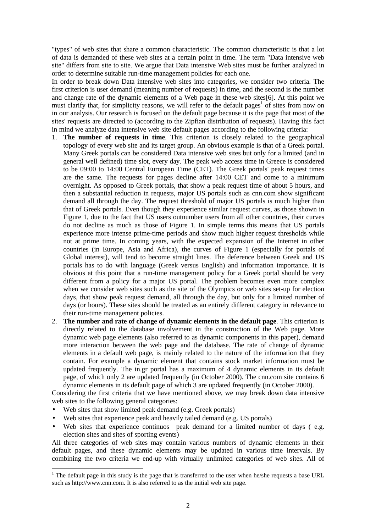"types" of web sites that share a common characteristic. The common characteristic is that a lot of data is demanded of these web sites at a certain point in time. The term "Data intensive web site" differs from site to site. We argue that Data intensive Web sites must be further analyzed in order to determine suitable run-time management policies for each one.

In order to break down Data intensive web sites into categories, we consider two criteria. The first criterion is user demand (meaning number of requests) in time, and the second is the number and change rate of the dynamic elements of a Web page in these web sites[6]. At this point we must clarify that, for simplicity reasons, we will refer to the default pages<sup>1</sup> of sites from now on in our analysis. Our research is focused on the default page because it is the page that most of the sites' requests are directed to (according to the Zipfian distribution of requests). Having this fact in mind we analyze data intensive web site default pages according to the following criteria:

- 1. **The number of requests in time**. This criterion is closely related to the geographical topology of every web site and its target group. An obvious example is that of a Greek portal. Many Greek portals can be considered Data intensive web sites but only for a limited (and in general well defined) time slot, every day. The peak web access time in Greece is considered to be 09:00 to 14:00 Central European Time (CET). The Greek portals' peak request times are the same. The requests for pages decline after 14:00 CET and come to a minimum overnight. As opposed to Greek portals, that show a peak request time of about 5 hours, and then a substantial reduction in requests, major US portals such as cnn.com show significant demand all through the day. The request threshold of major US portals is much higher than that of Greek portals. Even though they experience similar request curves, as those shown in Figure 1, due to the fact that US users outnumber users from all other countries, their curves do not decline as much as those of Figure 1. In simple terms this means that US portals experience more intense prime-time periods and show much higher request thresholds while not at prime time. In coming years, with the expected expansion of the Internet in other countries (in Europe, Asia and Africa), the curves of Figure 1 (especially for portals of Global interest), will tend to become straight lines. The deference between Greek and US portals has to do with language (Greek versus English) and information importance. It is obvious at this point that a run-time management policy for a Greek portal should be very different from a policy for a major US portal. The problem becomes even more complex when we consider web sites such as the site of the Olympics or web sites set-up for election days, that show peak request demand, all through the day, but only for a limited number of days (or hours). These sites should be treated as an entirely different category in relevance to their run-time management policies.
- 2. **The number and rate of change of dynamic elements in the default page**. This criterion is directly related to the database involvement in the construction of the Web page. More dynamic web page elements (also referred to as dynamic components in this paper), demand more interaction between the web page and the database. The rate of change of dynamic elements in a default web page, is mainly related to the nature of the information that they contain. For example a dynamic element that contains stock market information must be updated frequently. The in.gr portal has a maximum of 4 dynamic elements in its default page, of which only 2 are updated frequently (in October 2000). The cnn.com site contains 6 dynamic elements in its default page of which 3 are updated frequently (in October 2000).

Considering the first criteria that we have mentioned above, we may break down data intensive web sites to the following general categories:

- Web sites that show limited peak demand (e.g. Greek portals)
- Web sites that experience peak and heavily tailed demand (e.g. US portals)
- Web sites that experience continuos peak demand for a limited number of days (e.g. election sites and sites of sporting events)

All three categories of web sites may contain various numbers of dynamic elements in their default pages, and these dynamic elements may be updated in various time intervals. By combining the two criteria we end-up with virtually unlimited categories of web sites. All of

<sup>&</sup>lt;sup>1</sup> The default page in this study is the page that is transferred to the user when he/she requests a base URL such as http://www.cnn.com. It is also referred to as the initial web site page.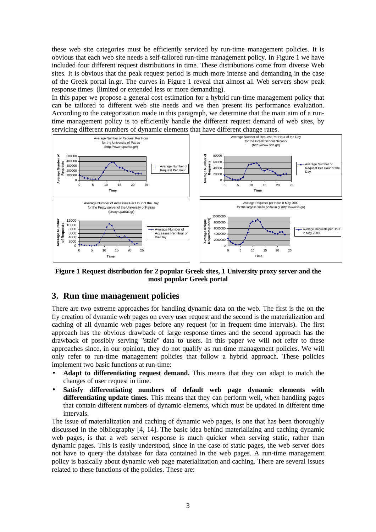these web site categories must be efficiently serviced by run-time management policies. It is obvious that each web site needs a self-tailored run-time management policy. In Figure 1 we have included four different request distributions in time. These distributions come from diverse Web sites. It is obvious that the peak request period is much more intense and demanding in the case of the Greek portal in.gr. The curves in Figure 1 reveal that almost all Web servers show peak response times (limited or extended less or more demanding).

In this paper we propose a general cost estimation for a hybrid run-time management policy that can be tailored to different web site needs and we then present its performance evaluation. According to the categorization made in this paragraph, we determine that the main aim of a runtime management policy is to efficiently handle the different request demand of web sites, by servicing different numbers of dynamic elements that have different change rates.



**Figure 1 Request distribution for 2 popular Greek sites, 1 University proxy server and the most popular Greek portal**

# **3. Run time management policies**

There are two extreme approaches for handling dynamic data on the web. The first is the on the fly creation of dynamic web pages on every user request and the second is the materialization and caching of all dynamic web pages before any request (or in frequent time intervals). The first approach has the obvious drawback of large response times and the second approach has the drawback of possibly serving "stale" data to users. In this paper we will not refer to these approaches since, in our opinion, they do not qualify as run-time management policies. We will only refer to run-time management policies that follow a hybrid approach. These policies implement two basic functions at run-time:

- **Adapt to differentiating request demand.** This means that they can adapt to match the changes of user request in time.
- **Satisfy differentiating numbers of default web page dynamic elements with differentiating update times.** This means that they can perform well, when handling pages that contain different numbers of dynamic elements, which must be updated in different time intervals.

The issue of materialization and caching of dynamic web pages, is one that has been thoroughly discussed in the bibliography [4, 14]. The basic idea behind materializing and caching dynamic web pages, is that a web server response is much quicker when serving static, rather than dynamic pages. This is easily understood, since in the case of static pages, the web server does not have to query the database for data contained in the web pages. A run-time management policy is basically about dynamic web page materialization and caching. There are several issues related to these functions of the policies. These are: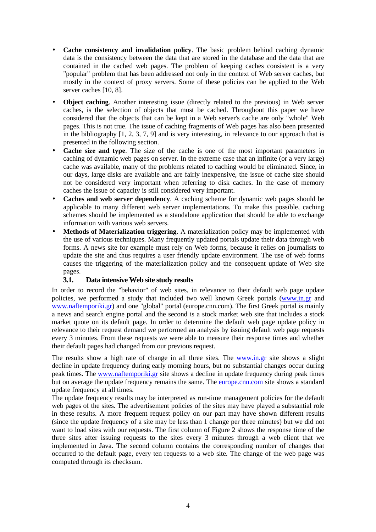- **Cache consistency and invalidation policy**. The basic problem behind caching dynamic data is the consistency between the data that are stored in the database and the data that are contained in the cached web pages. The problem of keeping caches consistent is a very "popular" problem that has been addressed not only in the context of Web server caches, but mostly in the context of proxy servers. Some of these policies can be applied to the Web server caches [10, 8].
- **Object caching**. Another interesting issue (directly related to the previous) in Web server caches, is the selection of objects that must be cached. Throughout this paper we have considered that the objects that can be kept in a Web server's cache are only "whole" Web pages. This is not true. The issue of caching fragments of Web pages has also been presented in the bibliography [1, 2, 3, 7, 9] and is very interesting, in relevance to our approach that is presented in the following section.
- **Cache size and type**. The size of the cache is one of the most important parameters in caching of dynamic web pages on server. In the extreme case that an infinite (or a very large) cache was available, many of the problems related to caching would be eliminated. Since, in our days, large disks are available and are fairly inexpensive, the issue of cache size should not be considered very important when referring to disk caches. In the case of memory caches the issue of capacity is still considered very important.
- **Caches and web server dependency**. A caching scheme for dynamic web pages should be applicable to many different web server implementations. To make this possible, caching schemes should be implemented as a standalone application that should be able to exchange information with various web servers.
- **Methods of Materialization triggering**. A materialization policy may be implemented with the use of various techniques. Many frequently updated portals update their data through web forms. A news site for example must rely on Web forms, because it relies on journalists to update the site and thus requires a user friendly update environment. The use of web forms causes the triggering of the materialization policy and the consequent update of Web site pages.

### **3.1. Data intensive Web site study results**

In order to record the "behavior" of web sites, in relevance to their default web page update policies, we performed a study that included two well known Greek portals (www.in.gr and www.naftemporiki.gr) and one "global" portal (europe.cnn.com). The first Greek portal is mainly a news and search engine portal and the second is a stock market web site that includes a stock market quote on its default page. In order to determine the default web page update policy in relevance to their request demand we performed an analysis by issuing default web page requests every 3 minutes. From these requests we were able to measure their response times and whether their default pages had changed from our previous request.

The results show a high rate of change in all three sites. The www.in.gr site shows a slight decline in update frequency during early morning hours, but no substantial changes occur during peak times. The www.naftemporiki.gr site shows a decline in update frequency during peak times but on average the update frequency remains the same. The **europe.cnn.com** site shows a standard update frequency at all times.

The update frequency results may be interpreted as run-time management policies for the default web pages of the sites. The advertisement policies of the sites may have played a substantial role in these results. A more frequent request policy on our part may have shown different results (since the update frequency of a site may be less than 1 change per three minutes) but we did not want to load sites with our requests. The first column of Figure 2 shows the response time of the three sites after issuing requests to the sites every 3 minutes through a web client that we implemented in Java. The second column contains the corresponding number of changes that occurred to the default page, every ten requests to a web site. The change of the web page was computed through its checksum.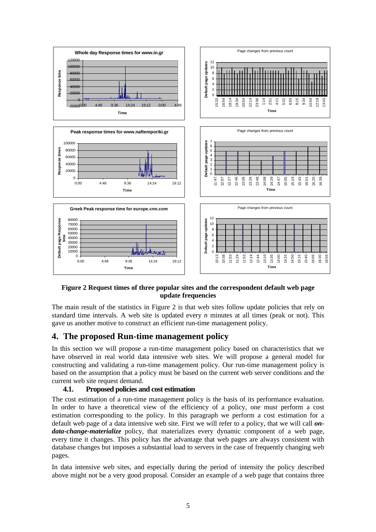

### **Figure 2 Request times of three popular sites and the correspondent default web page update frequencies**

The main result of the statistics in Figure 2 is that web sites follow update policies that rely on standard time intervals. A web site is updated every *n* minutes at all times (peak or not). This gave us another motive to construct an efficient run-time management policy.

# **4. The proposed Run-time management policy**

In this section we will propose a run-time management policy based on characteristics that we have observed in real world data intensive web sites. We will propose a general model for constructing and validating a run-time management policy. Our run-time management policy is based on the assumption that a policy must be based on the current web server conditions and the current web site request demand.

### **4.1. Proposed policies and cost estimation**

The cost estimation of a run-time management policy is the basis of its performance evaluation. In order to have a theoretical view of the efficiency of a policy, one must perform a cost estimation corresponding to the policy. In this paragraph we perform a cost estimation for a default web page of a data intensive web site. First we will refer to a policy, that we will call *ondata-change-materialize* policy, that materializes every dynamic component of a web page, every time it changes. This policy has the advantage that web pages are always consistent with database changes but imposes a substantial load to servers in the case of frequently changing web pages.

In data intensive web sites, and especially during the period of intensity the policy described above might not be a very good proposal. Consider an example of a web page that contains three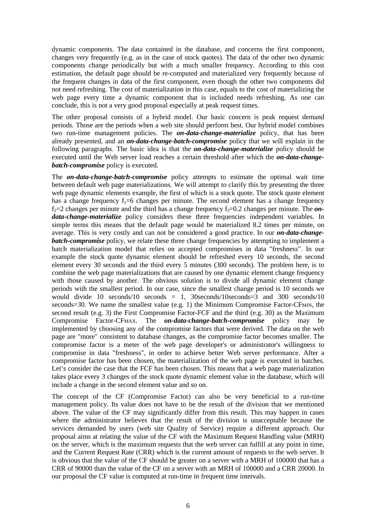dynamic components. The data contained in the database, and concerns the first component, changes very frequently (e.g. as in the case of stock quotes). The data of the other two dynamic components change periodically but with a much smaller frequency. According to this cost estimation, the default page should be re-computed and materialized very frequently because of the frequent changes in data of the first component, even though the other two components did not need refreshing. The cost of materialization in this case, equals to the cost of materializing the web page every time a dynamic component that is included needs refreshing. As one can conclude, this is not a very good proposal especially at peak request times.

The other proposal consists of a hybrid model. Our basic concern is peak request demand periods. Those are the periods when a web site should perform best. Our hybrid model combines two run-time management policies. The *on-data-change-materialize* policy, that has been already presented, and an *on-data-change-batch-compromise* policy that we will explain in the following paragraphs. The basic idea is that the *on-data-change-materialize* policy should be executed until the Web server load reaches a certain threshold after which the *on-data-changebatch-compromise* policy is executed.

The *on-data-change-batch-compromise* policy attempts to estimate the optimal wait time between default web page materializations. We will attempt to clarify this by presenting the three web page dynamic elements example, the first of which is a stock quote. The stock quote element has a change frequency  $f_1=6$  changes per minute. The second element has a change frequency  $f_2 = 2$  changes per minute and the third has a change frequency  $f_3 = 0.2$  changes per minute. The *on*data-change-materialize policy considers these three frequencies independent variables. In simple terms this means that the default page would be materialized 8.2 times per minute, on average. This is very costly and can not be considered a good practice. In our *on-data-changebatch-compromise* policy, we relate these three change frequencies by attempting to implement a batch materialization model that relies on accepted compromises in data "freshness". In our example the stock quote dynamic element should be refreshed every 10 seconds, the second element every 30 seconds and the third every 5 minutes (300 seconds). The problem here, is to combine the web page materializations that are caused by one dynamic element change frequency with those caused by another. The obvious solution is to divide all dynamic element change periods with the smallest period. In our case, since the smallest change period is 10 seconds we would divide 10 seconds/10 seconds  $= 1$ , 30seconds/10seconds=3 and 300 seconds/10 seconds=30. We name the smallest value (e.g. 1) the Minimum Compromise Factor-CFMIN, the second result (e.g. 3) the First Compromise Factor-FCF and the third (e.g. 30) as the Maximum Compromise Factor-CFMAX. The *on-data-change-batch-compromise* policy may be implemented by choosing any of the compromise factors that were derived. The data on the web page are "more" consistent to database changes, as the compromise factor becomes smaller. The compromise factor is a meter of the web page developer's or administrator's willingness to compromise in data "freshness", in order to achieve better Web server performance. After a compromise factor has been chosen, the materialization of the web page is executed in batches. Let's consider the case that the FCF has been chosen. This means that a web page materialization takes place every 3 changes of the stock quote dynamic element value in the database, which will include a change in the second element value and so on.

The concept of the CF (Compromise Factor) can also be very beneficial to a run-time management policy. Its value does not have to be the result of the division that we mentioned above. The value of the CF may significantly differ from this result. This may happen in cases where the administrator believes that the result of the division is unacceptable because the services demanded by users (web site Quality of Service) require a different approach. Our proposal aims at relating the value of the CF with the Maximum Request Handling value (MRH) on the server, which is the maximum requests that the web server can fulfill at any point in time, and the Current Request Rate (CRR) which is the current amount of requests to the web server. It is obvious that the value of the CF should be greater on a server with a MRH of 100000 that has a CRR of 90000 than the value of the CF on a server with an MRH of 100000 and a CRR 20000. In our proposal the CF value is computed at run-time in frequent time intervals.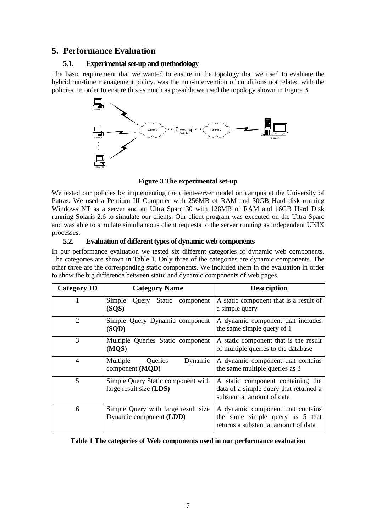# **5. Performance Evaluation**

# **5.1. Experimental set-up and methodology**

The basic requirement that we wanted to ensure in the topology that we used to evaluate the hybrid run-time management policy, was the non-intervention of conditions not related with the policies. In order to ensure this as much as possible we used the topology shown in Figure 3.



**Figure 3 The experimental set-up**

We tested our policies by implementing the client-server model on campus at the University of Patras. We used a Pentium III Computer with 256MB of RAM and 30GB Hard disk running Windows NT as a server and an Ultra Sparc 30 with 128MB of RAM and 16GB Hard Disk running Solaris 2.6 to simulate our clients. Our client program was executed on the Ultra Sparc and was able to simulate simultaneous client requests to the server running as independent UNIX processes.

# **5.2. Evaluation of different types of dynamic web components**

In our performance evaluation we tested six different categories of dynamic web components. The categories are shown in Table 1. Only three of the categories are dynamic components. The other three are the corresponding static components. We included them in the evaluation in order to show the big difference between static and dynamic components of web pages.

| <b>Category ID</b> | <b>Category Name</b>                                            | <b>Description</b>                                                                                           |
|--------------------|-----------------------------------------------------------------|--------------------------------------------------------------------------------------------------------------|
|                    | Simple<br>Static component<br>Ouery<br>(SQS)                    | A static component that is a result of<br>a simple query                                                     |
| $\overline{2}$     | Simple Query Dynamic component<br>(SQD)                         | A dynamic component that includes<br>the same simple query of 1                                              |
| 3                  | Multiple Queries Static component<br>(MQS)                      | A static component that is the result<br>of multiple queries to the database                                 |
| $\overline{4}$     | Queries<br>Multiple<br>Dynamic<br>component (MQD)               | A dynamic component that contains<br>the same multiple queries as 3                                          |
| 5                  | Simple Query Static component with<br>large result size $(LDS)$ | A static component containing the<br>data of a simple query that returned a<br>substantial amount of data    |
| 6                  | Simple Query with large result size<br>Dynamic component (LDD)  | A dynamic component that contains<br>the same simple query as 5 that<br>returns a substantial amount of data |

### **Table 1 The categories of Web components used in our performance evaluation**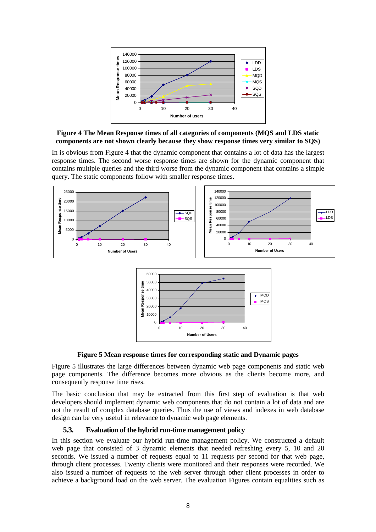

**Figure 4 The Mean Response times of all categories of components (MQS and LDS static components are not shown clearly because they show response times very similar to SQS)**

In is obvious from Figure 4 that the dynamic component that contains a lot of data has the largest response times. The second worse response times are shown for the dynamic component that contains multiple queries and the third worse from the dynamic component that contains a simple query. The static components follow with smaller response times.



**Figure 5 Mean response times for corresponding static and Dynamic pages**

Figure 5 illustrates the large differences between dynamic web page components and static web page components. The difference becomes more obvious as the clients become more, and consequently response time rises.

The basic conclusion that may be extracted from this first step of evaluation is that web developers should implement dynamic web components that do not contain a lot of data and are not the result of complex database queries. Thus the use of views and indexes in web database design can be very useful in relevance to dynamic web page elements.

### **5.3. Evaluation of the hybrid run-time management policy**

In this section we evaluate our hybrid run-time management policy. We constructed a default web page that consisted of 3 dynamic elements that needed refreshing every 5, 10 and 20 seconds. We issued a number of requests equal to 11 requests per second for that web page, through client processes. Twenty clients were monitored and their responses were recorded. We also issued a number of requests to the web server through other client processes in order to achieve a background load on the web server. The evaluation Figures contain equalities such as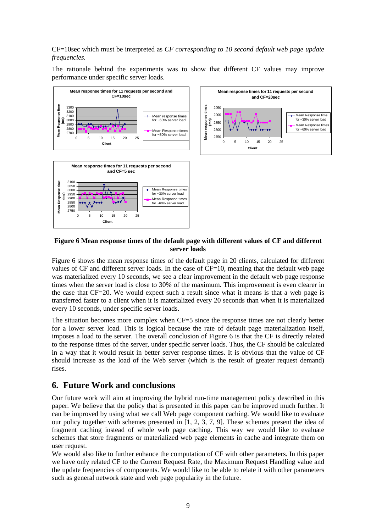CF=10sec which must be interpreted as *CF corresponding to 10 second default web page update frequencies.*

The rationale behind the experiments was to show that different CF values may improve performance under specific server loads.





#### **Figure 6 Mean response times of the default page with different values of CF and different server loads**

Figure 6 shows the mean response times of the default page in 20 clients, calculated for different values of CF and different server loads. In the case of  $CF=10$ , meaning that the default web page was materialized every 10 seconds, we see a clear improvement in the default web page response times when the server load is close to 30% of the maximum. This improvement is even clearer in the case that CF=20. We would expect such a result since what it means is that a web page is transferred faster to a client when it is materialized every 20 seconds than when it is materialized every 10 seconds, under specific server loads.

The situation becomes more complex when CF=5 since the response times are not clearly better for a lower server load. This is logical because the rate of default page materialization itself, imposes a load to the server. The overall conclusion of Figure 6 is that the CF is directly related to the response times of the server, under specific server loads. Thus, the CF should be calculated in a way that it would result in better server response times. It is obvious that the value of CF should increase as the load of the Web server (which is the result of greater request demand) rises.

# **6. Future Work and conclusions**

Our future work will aim at improving the hybrid run-time management policy described in this paper. We believe that the policy that is presented in this paper can be improved much further. It can be improved by using what we call Web page component caching. We would like to evaluate our policy together with schemes presented in [1, 2, 3, 7, 9]. These schemes present the idea of fragment caching instead of whole web page caching. This way we would like to evaluate schemes that store fragments or materialized web page elements in cache and integrate them on user request.

We would also like to further enhance the computation of CF with other parameters. In this paper we have only related CF to the Current Request Rate, the Maximum Request Handling value and the update frequencies of components. We would like to be able to relate it with other parameters such as general network state and web page popularity in the future.